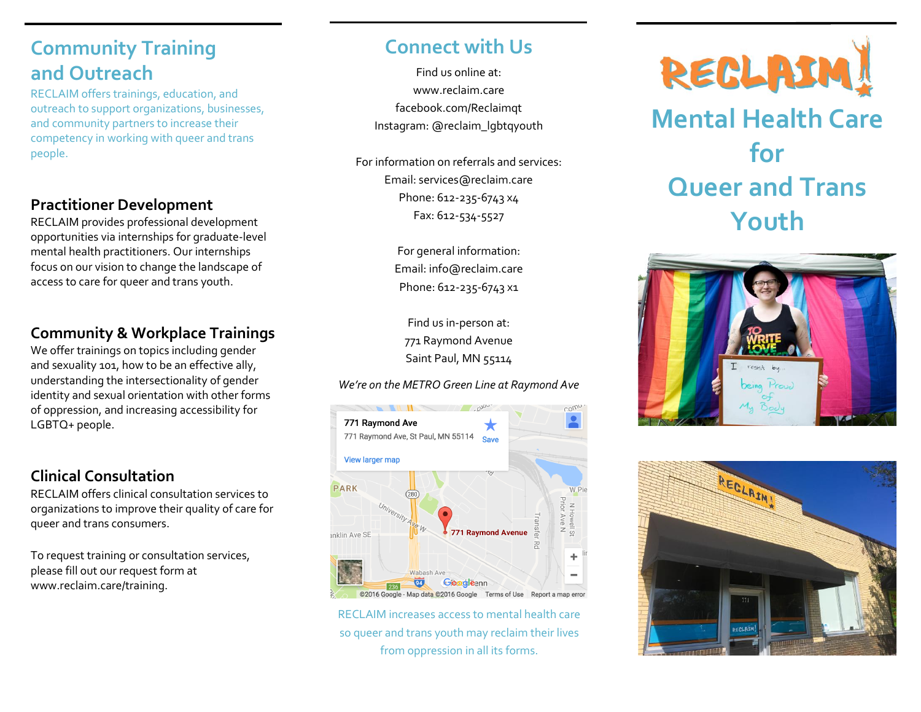# **Community Training and Outreach**

RECLAIM offers trainings, education, and outreach to support organizations, businesses, and community partners to increase their competency in working with queer and trans people.

#### **Practitioner Development**

RECLAIM provides professional development opportunities via internships for graduate-level mental health practitioners. Our internships focus on our vision to change the landscape of access to care for queer and trans youth.

#### **Community & Workplace Trainings**

We offer trainings on topics including gender and sexuality 101, how to be an effective ally, understanding the intersectionality of gender identity and sexual orientation with other forms of oppression, and increasing accessibility for LGBTQ+ people.

### **Clinical Consultation**

RECLAIM offers clinical consultation services to organizations to improve their quality of care for queer and trans consumers.

To request training or consultation services, please fill out our request form at www.reclaim.care/training.

## **Connect with Us**

Find us online at: [www.reclaim.care](http://www.reclaim.care/) [facebook.com/Reclaimqt](http://facebook.com/Reclaimqt) Instagram: @reclaim\_lgbtqyouth

For information on referrals and services: Email: services@reclaim.care Phone: 612-235-6743 x4 Fax: 612-534-5527

> For general information: Email: [info@reclaim.care](mailto:info@reclaim.care) Phone: 612-235-6743 x1

Find us in-person at: 771 Raymond Avenue Saint Paul, MN 55114

#### *We're on the METRO Green Line at Raymond Ave*



RECLAIM increases access to mental health care so queer and trans youth may reclaim their lives from oppression in all its forms.